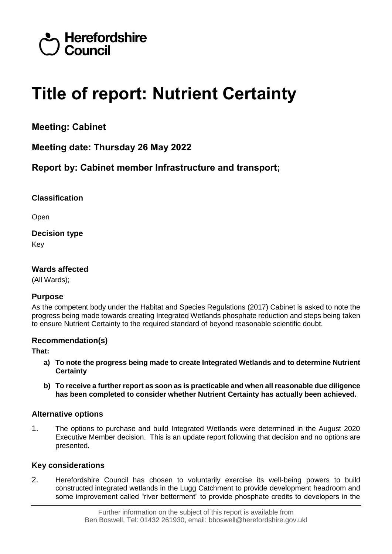

# **Title of report: Nutrient Certainty**

**Meeting: Cabinet**

**Meeting date: Thursday 26 May 2022**

**Report by: Cabinet member Infrastructure and transport;** 

# **Classification**

Open

**Decision type** Key

# **Wards affected**

(All Wards);

# **Purpose**

As the competent body under the Habitat and Species Regulations (2017) Cabinet is asked to note the progress being made towards creating Integrated Wetlands phosphate reduction and steps being taken to ensure Nutrient Certainty to the required standard of beyond reasonable scientific doubt.

# **Recommendation(s)**

**That:**

- **a) To note the progress being made to create Integrated Wetlands and to determine Nutrient Certainty**
- **b) To receive a further report as soon as is practicable and when all reasonable due diligence has been completed to consider whether Nutrient Certainty has actually been achieved.**

# **Alternative options**

1. The options to purchase and build Integrated Wetlands were determined in the August 2020 Executive Member decision. This is an update report following that decision and no options are presented.

# **Key considerations**

2. Herefordshire Council has chosen to voluntarily exercise its well-being powers to build constructed integrated wetlands in the Lugg Catchment to provide development headroom and some improvement called "river betterment" to provide phosphate credits to developers in the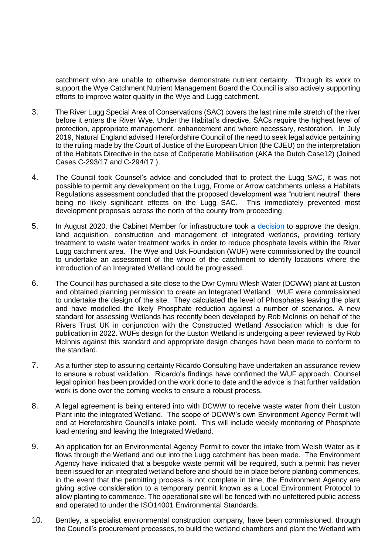catchment who are unable to otherwise demonstrate nutrient certainty. Through its work to support the Wye Catchment Nutrient Management Board the Council is also actively supporting efforts to improve water quality in the Wye and Lugg catchment.

- 3. The River Lugg Special Area of Conservations (SAC) covers the last nine mile stretch of the river before it enters the River Wye. Under the Habitat's directive, SACs require the highest level of protection, appropriate management, enhancement and where necessary, restoration. In July 2019, Natural England advised Herefordshire Council of the need to seek legal advice pertaining to the ruling made by the Court of Justice of the European Union (the CJEU) on the interpretation of the Habitats Directive in the case of Coöperatie Mobilisation (AKA the Dutch Case12) (Joined Cases C-293/17 and C-294/17 ).
- 4. The Council took Counsel's advice and concluded that to protect the Lugg SAC, it was not possible to permit any development on the Lugg, Frome or Arrow catchments unless a Habitats Regulations assessment concluded that the proposed development was "nutrient neutral" there being no likely significant effects on the Lugg SAC. This immediately prevented most development proposals across the north of the county from proceeding.
- 5. In August 2020, the Cabinet Member for infrastructure took a [decision](https://councillors.herefordshire.gov.uk/ieDecisionDetails.aspx?ID=7049) to approve the design, land acquisition, construction and management of integrated wetlands, providing tertiary treatment to waste water treatment works in order to reduce phosphate levels within the River Lugg catchment area. The Wye and Usk Foundation (WUF) were commissioned by the council to undertake an assessment of the whole of the catchment to identify locations where the introduction of an Integrated Wetland could be progressed.
- 6. The Council has purchased a site close to the Dwr Cymru Wlesh Water (DCWW) plant at Luston and obtained planning permission to create an Integrated Wetland. WUF were commissioned to undertake the design of the site. They calculated the level of Phosphates leaving the plant and have modelled the likely Phosphate reduction against a number of scenarios. A new standard for assessing Wetlands has recently been developed by Rob McInnis on behalf of the Rivers Trust UK in conjunction with the Constructed Wetland Association which is due for publication in 2022. WUFs design for the Luston Wetland is undergoing a peer reviewed by Rob McInnis against this standard and appropriate design changes have been made to conform to the standard.
- 7. As a further step to assuring certainty Ricardo Consulting have undertaken an assurance review to ensure a robust validation. Ricardo's findings have confirmed the WUF approach. Counsel legal opinion has been provided on the work done to date and the advice is that further validation work is done over the coming weeks to ensure a robust process.
- 8. A legal agreement is being entered into with DCWW to receive waste water from their Luston Plant into the integrated Wetland. The scope of DCWW's own Environment Agency Permit will end at Herefordshire Council's intake point. This will include weekly monitoring of Phosphate load entering and leaving the Integrated Wetland.
- 9. An application for an Environmental Agency Permit to cover the intake from Welsh Water as it flows through the Wetland and out into the Lugg catchment has been made. The Environment Agency have indicated that a bespoke waste permit will be required, such a permit has never been issued for an integrated wetland before and should be in place before planting commences, in the event that the permitting process is not complete in time, the Environment Agency are giving active consideration to a temporary permit known as a Local Environment Protocol to allow planting to commence. The operational site will be fenced with no unfettered public access and operated to under the ISO14001 Environmental Standards.
- 10. Bentley, a specialist environmental construction company, have been commissioned, through the Council's procurement processes, to build the wetland chambers and plant the Wetland with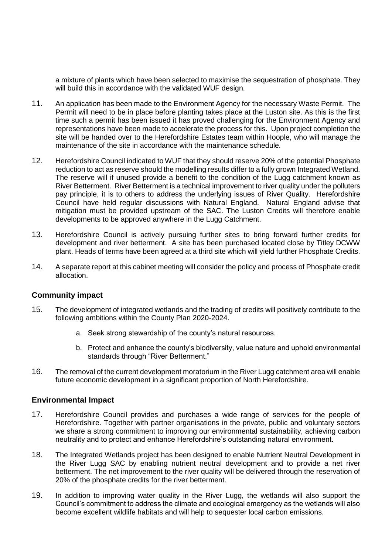a mixture of plants which have been selected to maximise the sequestration of phosphate. They will build this in accordance with the validated WUF design.

- 11. An application has been made to the Environment Agency for the necessary Waste Permit. The Permit will need to be in place before planting takes place at the Luston site. As this is the first time such a permit has been issued it has proved challenging for the Environment Agency and representations have been made to accelerate the process for this. Upon project completion the site will be handed over to the Herefordshire Estates team within Hoople, who will manage the maintenance of the site in accordance with the maintenance schedule.
- 12. Herefordshire Council indicated to WUF that they should reserve 20% of the potential Phosphate reduction to act as reserve should the modelling results differ to a fully grown Integrated Wetland. The reserve will if unused provide a benefit to the condition of the Lugg catchment known as River Betterment. River Betterment is a technical improvement to river quality under the polluters pay principle, it is to others to address the underlying issues of River Quality. Herefordshire Council have held regular discussions with Natural England. Natural England advise that mitigation must be provided upstream of the SAC. The Luston Credits will therefore enable developments to be approved anywhere in the Lugg Catchment.
- 13. Herefordshire Council is actively pursuing further sites to bring forward further credits for development and river betterment. A site has been purchased located close by Titley DCWW plant. Heads of terms have been agreed at a third site which will yield further Phosphate Credits.
- 14. A separate report at this cabinet meeting will consider the policy and process of Phosphate credit allocation.

#### **Community impact**

- 15. The development of integrated wetlands and the trading of credits will positively contribute to the following ambitions within the County Plan 2020-2024.
	- a. Seek strong stewardship of the county's natural resources.
	- b. Protect and enhance the county's biodiversity, value nature and uphold environmental standards through "River Betterment."
- 16. The removal of the current development moratorium in the River Lugg catchment area will enable future economic development in a significant proportion of North Herefordshire.

#### **Environmental Impact**

- 17. Herefordshire Council provides and purchases a wide range of services for the people of Herefordshire. Together with partner organisations in the private, public and voluntary sectors we share a strong commitment to improving our environmental sustainability, achieving carbon neutrality and to protect and enhance Herefordshire's outstanding natural environment.
- 18. The Integrated Wetlands project has been designed to enable Nutrient Neutral Development in the River Lugg SAC by enabling nutrient neutral development and to provide a net river betterment. The net improvement to the river quality will be delivered through the reservation of 20% of the phosphate credits for the river betterment.
- 19. In addition to improving water quality in the River Lugg, the wetlands will also support the Council's commitment to address the climate and ecological emergency as the wetlands will also become excellent wildlife habitats and will help to sequester local carbon emissions.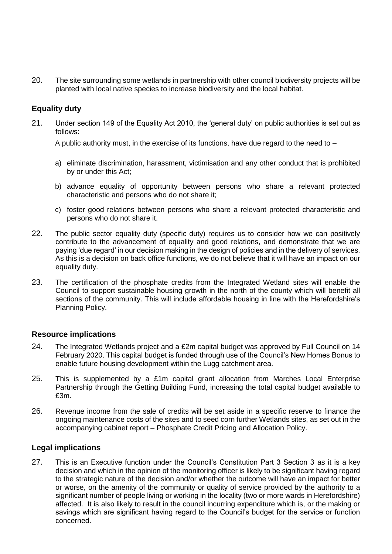20. The site surrounding some wetlands in partnership with other council biodiversity projects will be planted with local native species to increase biodiversity and the local habitat.

# **Equality duty**

21. Under section 149 of the Equality Act 2010, the 'general duty' on public authorities is set out as follows:

A public authority must, in the exercise of its functions, have due regard to the need to  $-$ 

- a) eliminate discrimination, harassment, victimisation and any other conduct that is prohibited by or under this Act;
- b) advance equality of opportunity between persons who share a relevant protected characteristic and persons who do not share it;
- c) foster good relations between persons who share a relevant protected characteristic and persons who do not share it.
- 22. The public sector equality duty (specific duty) requires us to consider how we can positively contribute to the advancement of equality and good relations, and demonstrate that we are paying 'due regard' in our decision making in the design of policies and in the delivery of services. As this is a decision on back office functions, we do not believe that it will have an impact on our equality duty.
- 23. The certification of the phosphate credits from the Integrated Wetland sites will enable the Council to support sustainable housing growth in the north of the county which will benefit all sections of the community. This will include affordable housing in line with the Herefordshire's Planning Policy.

#### **Resource implications**

- 24. The Integrated Wetlands project and a £2m capital budget was approved by Full Council on 14 February 2020. This capital budget is funded through use of the Council's New Homes Bonus to enable future housing development within the Lugg catchment area.
- 25. This is supplemented by a £1m capital grant allocation from Marches Local Enterprise Partnership through the Getting Building Fund, increasing the total capital budget available to £3m.
- 26. Revenue income from the sale of credits will be set aside in a specific reserve to finance the ongoing maintenance costs of the sites and to seed corn further Wetlands sites, as set out in the accompanying cabinet report – Phosphate Credit Pricing and Allocation Policy.

# **Legal implications**

27. This is an Executive function under the Council's Constitution Part 3 Section 3 as it is a key decision and which in the opinion of the monitoring officer is likely to be significant having regard to the strategic nature of the decision and/or whether the outcome will have an impact for better or worse, on the amenity of the community or quality of service provided by the authority to a significant number of people living or working in the locality (two or more wards in Herefordshire) affected. It is also likely to result in the council incurring expenditure which is, or the making or savings which are significant having regard to the Council's budget for the service or function concerned.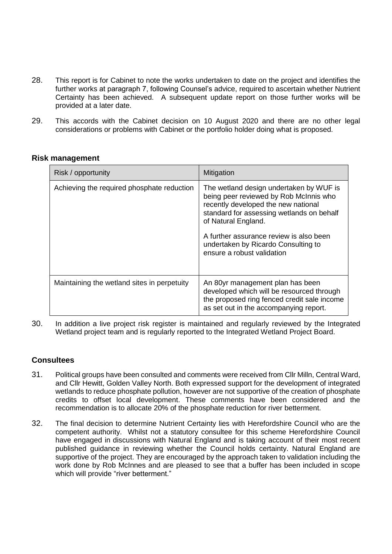- 28. This report is for Cabinet to note the works undertaken to date on the project and identifies the further works at paragraph 7, following Counsel's advice, required to ascertain whether Nutrient Certainty has been achieved. A subsequent update report on those further works will be provided at a later date.
- 29. This accords with the Cabinet decision on 10 August 2020 and there are no other legal considerations or problems with Cabinet or the portfolio holder doing what is proposed.

#### **Risk management**

| Risk / opportunity                          | Mitigation                                                                                                                                                                                                                                                                                                   |
|---------------------------------------------|--------------------------------------------------------------------------------------------------------------------------------------------------------------------------------------------------------------------------------------------------------------------------------------------------------------|
| Achieving the required phosphate reduction  | The wetland design undertaken by WUF is<br>being peer reviewed by Rob McInnis who<br>recently developed the new national<br>standard for assessing wetlands on behalf<br>of Natural England.<br>A further assurance review is also been<br>undertaken by Ricardo Consulting to<br>ensure a robust validation |
| Maintaining the wetland sites in perpetuity | An 80yr management plan has been<br>developed which will be resourced through<br>the proposed ring fenced credit sale income<br>as set out in the accompanying report.                                                                                                                                       |

30. In addition a live project risk register is maintained and regularly reviewed by the Integrated Wetland project team and is regularly reported to the Integrated Wetland Project Board.

# **Consultees**

- 31. Political groups have been consulted and comments were received from Cllr Milln, Central Ward, and Cllr Hewitt, Golden Valley North. Both expressed support for the development of integrated wetlands to reduce phosphate pollution, however are not supportive of the creation of phosphate credits to offset local development. These comments have been considered and the recommendation is to allocate 20% of the phosphate reduction for river betterment.
- 32. The final decision to determine Nutrient Certainty lies with Herefordshire Council who are the competent authority. Whilst not a statutory consultee for this scheme Herefordshire Council have engaged in discussions with Natural England and is taking account of their most recent published guidance in reviewing whether the Council holds certainty. Natural England are supportive of the project. They are encouraged by the approach taken to validation including the work done by Rob McInnes and are pleased to see that a buffer has been included in scope which will provide "river betterment."